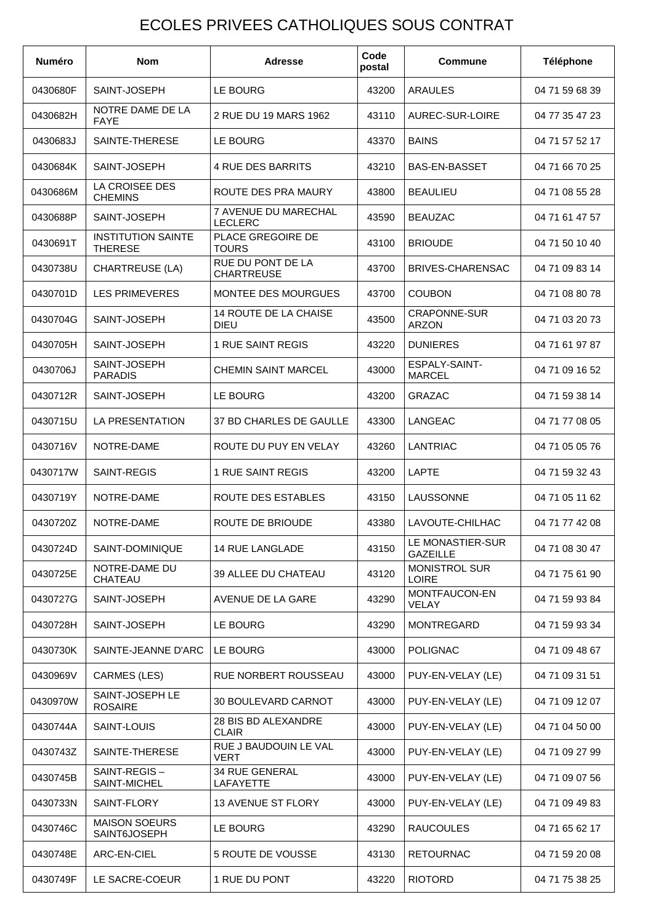## ECOLES PRIVEES CATHOLIQUES SOUS CONTRAT

| <b>Numéro</b> | <b>Nom</b>                                  | <b>Adresse</b>                              | Code<br>postal | <b>Commune</b>                        | Téléphone      |
|---------------|---------------------------------------------|---------------------------------------------|----------------|---------------------------------------|----------------|
| 0430680F      | SAINT-JOSEPH                                | LE BOURG                                    | 43200          | <b>ARAULES</b>                        | 04 71 59 68 39 |
| 0430682H      | NOTRE DAME DE LA<br><b>FAYE</b>             | 2 RUE DU 19 MARS 1962                       | 43110          | AUREC-SUR-LOIRE                       | 04 77 35 47 23 |
| 0430683J      | SAINTE-THERESE                              | LE BOURG                                    | 43370          | <b>BAINS</b>                          | 04 71 57 52 17 |
| 0430684K      | SAINT-JOSEPH                                | <b>4 RUE DES BARRITS</b>                    | 43210          | <b>BAS-EN-BASSET</b>                  | 04 71 66 70 25 |
| 0430686M      | LA CROISEE DES<br><b>CHEMINS</b>            | ROUTE DES PRA MAURY                         | 43800          | <b>BEAULIEU</b>                       | 04 71 08 55 28 |
| 0430688P      | SAINT-JOSEPH                                | 7 AVENUE DU MARECHAL<br><b>LECLERC</b>      | 43590          | <b>BEAUZAC</b>                        | 04 71 61 47 57 |
| 0430691T      | <b>INSTITUTION SAINTE</b><br><b>THERESE</b> | <b>PLACE GREGOIRE DE</b><br><b>TOURS</b>    | 43100          | <b>BRIOUDE</b>                        | 04 71 50 10 40 |
| 0430738U      | CHARTREUSE (LA)                             | RUE DU PONT DE LA<br><b>CHARTREUSE</b>      | 43700          | <b>BRIVES-CHARENSAC</b>               | 04 71 09 83 14 |
| 0430701D      | <b>LES PRIMEVERES</b>                       | <b>MONTEE DES MOURGUES</b>                  | 43700          | <b>COUBON</b>                         | 04 71 08 80 78 |
| 0430704G      | SAINT-JOSEPH                                | <b>14 ROUTE DE LA CHAISE</b><br><b>DIEU</b> | 43500          | CRAPONNE-SUR<br><b>ARZON</b>          | 04 71 03 20 73 |
| 0430705H      | SAINT-JOSEPH                                | 1 RUE SAINT REGIS                           | 43220          | <b>DUNIERES</b>                       | 04 71 61 97 87 |
| 0430706J      | SAINT-JOSEPH<br><b>PARADIS</b>              | <b>CHEMIN SAINT MARCEL</b>                  | 43000          | <b>ESPALY-SAINT-</b><br><b>MARCEL</b> | 04 71 09 16 52 |
| 0430712R      | SAINT-JOSEPH                                | LE BOURG                                    | 43200          | <b>GRAZAC</b>                         | 04 71 59 38 14 |
| 0430715U      | LA PRESENTATION                             | 37 BD CHARLES DE GAULLE                     | 43300          | LANGEAC                               | 04 71 77 08 05 |
| 0430716V      | NOTRE-DAME                                  | ROUTE DU PUY EN VELAY                       | 43260          | LANTRIAC                              | 04 71 05 05 76 |
| 0430717W      | SAINT-REGIS                                 | 1 RUE SAINT REGIS                           | 43200          | LAPTE                                 | 04 71 59 32 43 |
| 0430719Y      | NOTRE-DAME                                  | ROUTE DES ESTABLES                          | 43150          | LAUSSONNE                             | 04 71 05 11 62 |
| 0430720Z      | NOTRE-DAME                                  | ROUTE DE BRIOUDE                            | 43380          | LAVOUTE-CHILHAC                       | 04 71 77 42 08 |
| 0430724D      | SAINT-DOMINIQUE                             | 14 RUE LANGLADE                             | 43150          | LE MONASTIER-SUR<br><b>GAZEILLE</b>   | 04 71 08 30 47 |
| 0430725E      | NOTRE-DAME DU<br>CHATEAU                    | 39 ALLEE DU CHATEAU                         | 43120          | <b>MONISTROL SUR</b><br><b>LOIRE</b>  | 04 71 75 61 90 |
| 0430727G      | SAINT-JOSEPH                                | AVENUE DE LA GARE                           | 43290          | MONTFAUCON-EN<br>VELAY                | 04 71 59 93 84 |
| 0430728H      | SAINT-JOSEPH                                | LE BOURG                                    | 43290          | <b>MONTREGARD</b>                     | 04 71 59 93 34 |
| 0430730K      | SAINTE-JEANNE D'ARC                         | LE BOURG                                    | 43000          | <b>POLIGNAC</b>                       | 04 71 09 48 67 |
| 0430969V      | <b>CARMES (LES)</b>                         | <b>RUE NORBERT ROUSSEAU</b>                 | 43000          | PUY-EN-VELAY (LE)                     | 04 71 09 31 51 |
| 0430970W      | SAINT-JOSEPH LE<br><b>ROSAIRE</b>           | 30 BOULEVARD CARNOT                         | 43000          | PUY-EN-VELAY (LE)                     | 04 71 09 12 07 |
| 0430744A      | SAINT-LOUIS                                 | 28 BIS BD ALEXANDRE<br><b>CLAIR</b>         | 43000          | PUY-EN-VELAY (LE)                     | 04 71 04 50 00 |
| 0430743Z      | SAINTE-THERESE                              | RUE J BAUDOUIN LE VAL<br><b>VERT</b>        | 43000          | PUY-EN-VELAY (LE)                     | 04 71 09 27 99 |
| 0430745B      | SAINT-REGIS-<br>SAINT-MICHEL                | 34 RUE GENERAL<br>LAFAYETTE                 | 43000          | PUY-EN-VELAY (LE)                     | 04 71 09 07 56 |
| 0430733N      | SAINT-FLORY                                 | <b>13 AVENUE ST FLORY</b>                   | 43000          | PUY-EN-VELAY (LE)                     | 04 71 09 49 83 |
| 0430746C      | <b>MAISON SOEURS</b><br>SAINT6JOSEPH        | LE BOURG                                    | 43290          | <b>RAUCOULES</b>                      | 04 71 65 62 17 |
| 0430748E      | ARC-EN-CIEL                                 | 5 ROUTE DE VOUSSE                           | 43130          | <b>RETOURNAC</b>                      | 04 71 59 20 08 |
| 0430749F      | LE SACRE-COEUR                              | 1 RUE DU PONT                               | 43220          | <b>RIOTORD</b>                        | 04 71 75 38 25 |